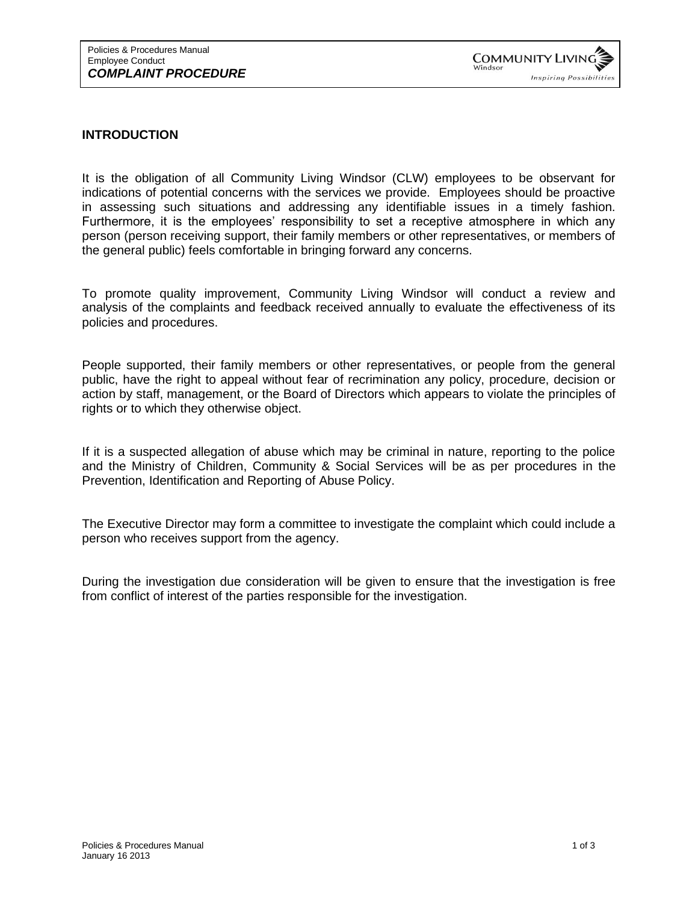## **INTRODUCTION**

It is the obligation of all Community Living Windsor (CLW) employees to be observant for indications of potential concerns with the services we provide. Employees should be proactive in assessing such situations and addressing any identifiable issues in a timely fashion. Furthermore, it is the employees' responsibility to set a receptive atmosphere in which any person (person receiving support, their family members or other representatives, or members of the general public) feels comfortable in bringing forward any concerns.

To promote quality improvement, Community Living Windsor will conduct a review and analysis of the complaints and feedback received annually to evaluate the effectiveness of its policies and procedures.

People supported, their family members or other representatives, or people from the general public, have the right to appeal without fear of recrimination any policy, procedure, decision or action by staff, management, or the Board of Directors which appears to violate the principles of rights or to which they otherwise object.

If it is a suspected allegation of abuse which may be criminal in nature, reporting to the police and the Ministry of Children, Community & Social Services will be as per procedures in the Prevention, Identification and Reporting of Abuse Policy.

The Executive Director may form a committee to investigate the complaint which could include a person who receives support from the agency.

During the investigation due consideration will be given to ensure that the investigation is free from conflict of interest of the parties responsible for the investigation.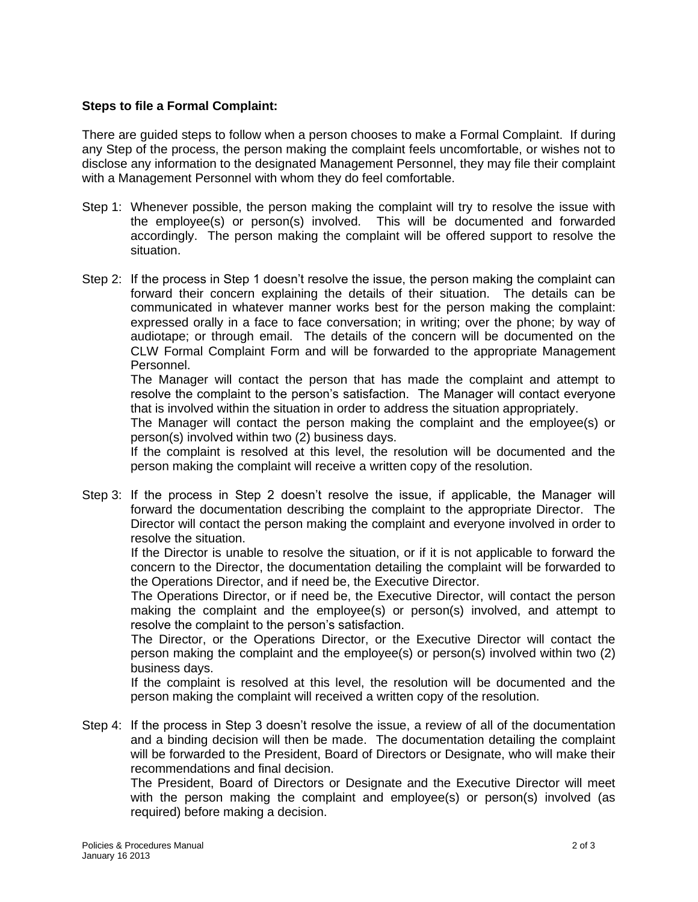## **Steps to file a Formal Complaint:**

There are guided steps to follow when a person chooses to make a Formal Complaint. If during any Step of the process, the person making the complaint feels uncomfortable, or wishes not to disclose any information to the designated Management Personnel, they may file their complaint with a Management Personnel with whom they do feel comfortable.

- Step 1: Whenever possible, the person making the complaint will try to resolve the issue with the employee(s) or person(s) involved. This will be documented and forwarded accordingly. The person making the complaint will be offered support to resolve the situation.
- Step 2: If the process in Step 1 doesn't resolve the issue, the person making the complaint can forward their concern explaining the details of their situation. The details can be communicated in whatever manner works best for the person making the complaint: expressed orally in a face to face conversation; in writing; over the phone; by way of audiotape; or through email. The details of the concern will be documented on the CLW Formal Complaint Form and will be forwarded to the appropriate Management Personnel.

The Manager will contact the person that has made the complaint and attempt to resolve the complaint to the person's satisfaction. The Manager will contact everyone that is involved within the situation in order to address the situation appropriately.

The Manager will contact the person making the complaint and the employee(s) or person(s) involved within two (2) business days.

If the complaint is resolved at this level, the resolution will be documented and the person making the complaint will receive a written copy of the resolution.

Step 3: If the process in Step 2 doesn't resolve the issue, if applicable, the Manager will forward the documentation describing the complaint to the appropriate Director. The Director will contact the person making the complaint and everyone involved in order to resolve the situation.

 If the Director is unable to resolve the situation, or if it is not applicable to forward the concern to the Director, the documentation detailing the complaint will be forwarded to the Operations Director, and if need be, the Executive Director.

 The Operations Director, or if need be, the Executive Director, will contact the person making the complaint and the employee(s) or person(s) involved, and attempt to resolve the complaint to the person's satisfaction.

 The Director, or the Operations Director, or the Executive Director will contact the person making the complaint and the employee(s) or person(s) involved within two (2) business days.

 If the complaint is resolved at this level, the resolution will be documented and the person making the complaint will received a written copy of the resolution.

Step 4: If the process in Step 3 doesn't resolve the issue, a review of all of the documentation and a binding decision will then be made. The documentation detailing the complaint will be forwarded to the President, Board of Directors or Designate, who will make their recommendations and final decision.

The President, Board of Directors or Designate and the Executive Director will meet with the person making the complaint and employee(s) or person(s) involved (as required) before making a decision.